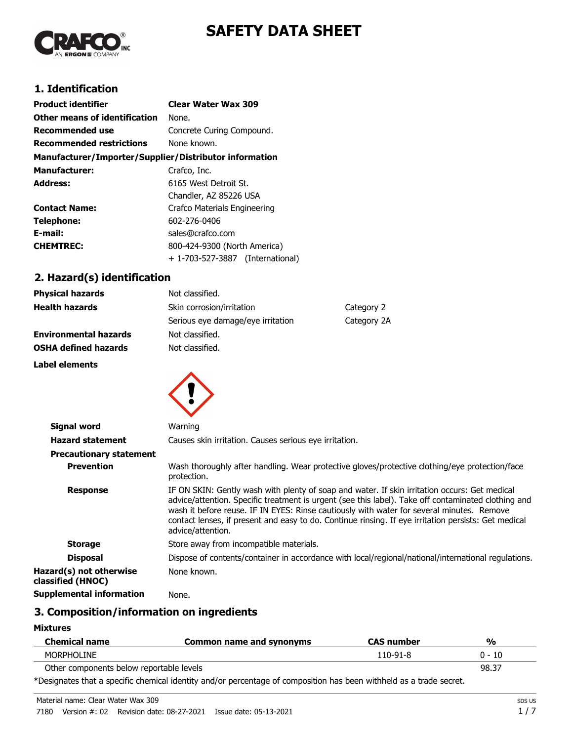# **SAFETY DATA SHEET**



# **1. Identification**

| <b>Product identifier</b>                              | <b>Clear Water Wax 309</b>          |
|--------------------------------------------------------|-------------------------------------|
| Other means of identification                          | None.                               |
| <b>Recommended use</b>                                 | Concrete Curing Compound.           |
| <b>Recommended restrictions</b>                        | None known.                         |
| Manufacturer/Importer/Supplier/Distributor information |                                     |
| <b>Manufacturer:</b>                                   | Crafco, Inc.                        |
| <b>Address:</b>                                        | 6165 West Detroit St.               |
|                                                        | Chandler, AZ 85226 USA              |
| <b>Contact Name:</b>                                   | Crafco Materials Engineering        |
| <b>Telephone:</b>                                      | 602-276-0406                        |
| E-mail:                                                | sales@crafco.com                    |
| <b>CHEMTREC:</b>                                       | 800-424-9300 (North America)        |
|                                                        | + 1-703-527-3887<br>(International) |

# **2. Hazard(s) identification**

| <b>Physical hazards</b>      | Not classified.                   |             |
|------------------------------|-----------------------------------|-------------|
| <b>Health hazards</b>        | Skin corrosion/irritation         | Category 2  |
|                              | Serious eye damage/eye irritation | Category 2A |
| <b>Environmental hazards</b> | Not classified.                   |             |
| <b>OSHA defined hazards</b>  | Not classified.                   |             |
| Label elements               |                                   |             |



| Signal word                                  | Warning                                                                                                                                                                                                                                                                                                                                                                                                                        |  |
|----------------------------------------------|--------------------------------------------------------------------------------------------------------------------------------------------------------------------------------------------------------------------------------------------------------------------------------------------------------------------------------------------------------------------------------------------------------------------------------|--|
| <b>Hazard statement</b>                      | Causes skin irritation. Causes serious eye irritation.                                                                                                                                                                                                                                                                                                                                                                         |  |
| <b>Precautionary statement</b>               |                                                                                                                                                                                                                                                                                                                                                                                                                                |  |
| <b>Prevention</b>                            | Wash thoroughly after handling. Wear protective gloves/protective clothing/eye protection/face<br>protection.                                                                                                                                                                                                                                                                                                                  |  |
| <b>Response</b>                              | IF ON SKIN: Gently wash with plenty of soap and water. If skin irritation occurs: Get medical<br>advice/attention. Specific treatment is urgent (see this label). Take off contaminated clothing and<br>wash it before reuse. IF IN EYES: Rinse cautiously with water for several minutes. Remove<br>contact lenses, if present and easy to do. Continue rinsing. If eye irritation persists: Get medical<br>advice/attention. |  |
| <b>Storage</b>                               | Store away from incompatible materials.                                                                                                                                                                                                                                                                                                                                                                                        |  |
| <b>Disposal</b>                              | Dispose of contents/container in accordance with local/regional/national/international regulations.                                                                                                                                                                                                                                                                                                                            |  |
| Hazard(s) not otherwise<br>classified (HNOC) | None known.                                                                                                                                                                                                                                                                                                                                                                                                                    |  |
| <b>Supplemental information</b>              | None.                                                                                                                                                                                                                                                                                                                                                                                                                          |  |

## **3. Composition/information on ingredients**

**Mixtures**

| <b>Chemical name</b>                                                                                                 | Common name and synonyms | <b>CAS number</b> | $\frac{0}{0}$ |
|----------------------------------------------------------------------------------------------------------------------|--------------------------|-------------------|---------------|
| <b>MORPHOLINE</b>                                                                                                    |                          | $110-91-8$        | $0 - 10$      |
| Other components below reportable levels                                                                             |                          |                   | 98.37         |
| †Nastaseten tleet errendΩn elemeteel telentikeraal fennamentener e£rennametiken han henn mithledele en ertuaderaamet |                          |                   |               |

\*Designates that a specific chemical identity and/or percentage of composition has been withheld as a trade secret.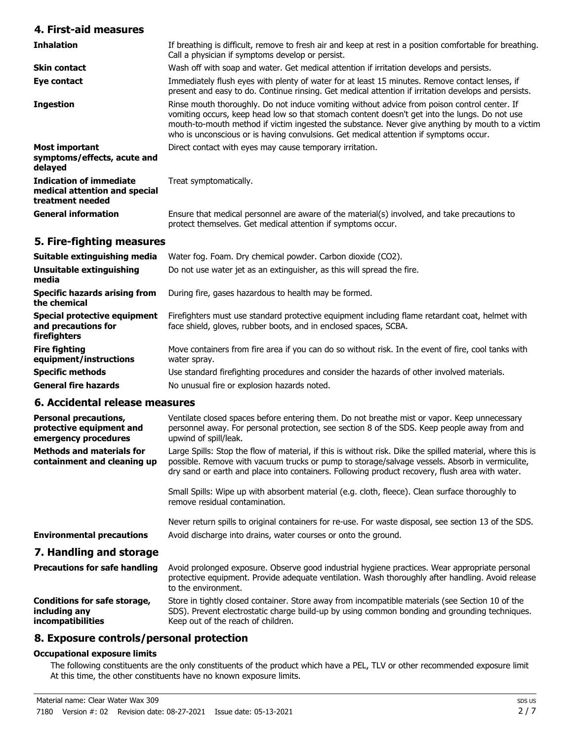### **4. First-aid measures**

| <b>Inhalation</b>                                                            | If breathing is difficult, remove to fresh air and keep at rest in a position comfortable for breathing.<br>Call a physician if symptoms develop or persist.                                                                                                                                                                                                                               |
|------------------------------------------------------------------------------|--------------------------------------------------------------------------------------------------------------------------------------------------------------------------------------------------------------------------------------------------------------------------------------------------------------------------------------------------------------------------------------------|
| <b>Skin contact</b>                                                          | Wash off with soap and water. Get medical attention if irritation develops and persists.                                                                                                                                                                                                                                                                                                   |
| Eye contact                                                                  | Immediately flush eyes with plenty of water for at least 15 minutes. Remove contact lenses, if<br>present and easy to do. Continue rinsing. Get medical attention if irritation develops and persists.                                                                                                                                                                                     |
| <b>Ingestion</b>                                                             | Rinse mouth thoroughly. Do not induce vomiting without advice from poison control center. If<br>vomiting occurs, keep head low so that stomach content doesn't get into the lungs. Do not use<br>mouth-to-mouth method if victim ingested the substance. Never give anything by mouth to a victim<br>who is unconscious or is having convulsions. Get medical attention if symptoms occur. |
| <b>Most important</b><br>symptoms/effects, acute and<br>delayed              | Direct contact with eyes may cause temporary irritation.                                                                                                                                                                                                                                                                                                                                   |
| Indication of immediate<br>medical attention and special<br>treatment needed | Treat symptomatically.                                                                                                                                                                                                                                                                                                                                                                     |
| <b>General information</b>                                                   | Ensure that medical personnel are aware of the material(s) involved, and take precautions to<br>protect themselves. Get medical attention if symptoms occur.                                                                                                                                                                                                                               |

### **5. Fire-fighting measures**

| Suitable extinguishing media                                        | Water fog. Foam. Dry chemical powder. Carbon dioxide (CO2).                                                                                                         |
|---------------------------------------------------------------------|---------------------------------------------------------------------------------------------------------------------------------------------------------------------|
| Unsuitable extinguishing<br>media                                   | Do not use water jet as an extinguisher, as this will spread the fire.                                                                                              |
| <b>Specific hazards arising from</b><br>the chemical                | During fire, gases hazardous to health may be formed.                                                                                                               |
| Special protective equipment<br>and precautions for<br>firefighters | Firefighters must use standard protective equipment including flame retardant coat, helmet with<br>face shield, gloves, rubber boots, and in enclosed spaces, SCBA. |
| <b>Fire fighting</b><br>equipment/instructions                      | Move containers from fire area if you can do so without risk. In the event of fire, cool tanks with<br>water spray.                                                 |
| <b>Specific methods</b>                                             | Use standard firefighting procedures and consider the hazards of other involved materials.                                                                          |
| <b>General fire hazards</b>                                         | No unusual fire or explosion hazards noted.                                                                                                                         |

### **6. Accidental release measures**

| oi muuluulitui Tuluubu Illuubul uu                                               |                                                                                                                                                                                                                                                                                                                 |
|----------------------------------------------------------------------------------|-----------------------------------------------------------------------------------------------------------------------------------------------------------------------------------------------------------------------------------------------------------------------------------------------------------------|
| <b>Personal precautions,</b><br>protective equipment and<br>emergency procedures | Ventilate closed spaces before entering them. Do not breathe mist or vapor. Keep unnecessary<br>personnel away. For personal protection, see section 8 of the SDS. Keep people away from and<br>upwind of spill/leak.                                                                                           |
| <b>Methods and materials for</b><br>containment and cleaning up                  | Large Spills: Stop the flow of material, if this is without risk. Dike the spilled material, where this is<br>possible. Remove with vacuum trucks or pump to storage/salvage vessels. Absorb in vermiculite,<br>dry sand or earth and place into containers. Following product recovery, flush area with water. |
|                                                                                  | Small Spills: Wipe up with absorbent material (e.g. cloth, fleece). Clean surface thoroughly to<br>remove residual contamination.                                                                                                                                                                               |
|                                                                                  | Never return spills to original containers for re-use. For waste disposal, see section 13 of the SDS.                                                                                                                                                                                                           |
| <b>Environmental precautions</b>                                                 | Avoid discharge into drains, water courses or onto the ground.                                                                                                                                                                                                                                                  |
| 7. Handling and storage                                                          |                                                                                                                                                                                                                                                                                                                 |
| <b>Precautions for safe handling</b>                                             | Avoid prolonged exposure. Observe good industrial hygiene practices. Wear appropriate personal<br>protective equipment. Provide adequate ventilation. Wash thoroughly after handling. Avoid release<br>to the environment.                                                                                      |
| Conditions for safe storage,<br>including any                                    | Store in tightly closed container. Store away from incompatible materials (see Section 10 of the<br>SDS). Prevent electrostatic charge build-up by using common bonding and grounding techniques.                                                                                                               |

### **8. Exposure controls/personal protection**

#### **Occupational exposure limits**

**incompatibilities**

The following constituents are the only constituents of the product which have a PEL, TLV or other recommended exposure limit. At this time, the other constituents have no known exposure limits.

Keep out of the reach of children.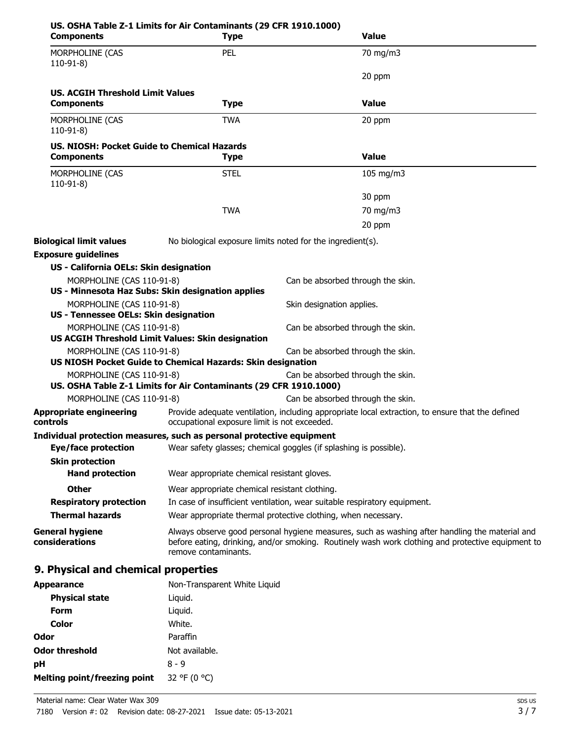| <b>Components</b>                                                     | US. OSHA Table Z-1 Limits for Air Contaminants (29 CFR 1910.1000)<br><b>Type</b> | <b>Value</b>                                                                                                                                                                                        |  |
|-----------------------------------------------------------------------|----------------------------------------------------------------------------------|-----------------------------------------------------------------------------------------------------------------------------------------------------------------------------------------------------|--|
| MORPHOLINE (CAS<br>$110-91-8$                                         | PEL                                                                              | 70 mg/m3                                                                                                                                                                                            |  |
|                                                                       |                                                                                  | 20 ppm                                                                                                                                                                                              |  |
| <b>US. ACGIH Threshold Limit Values</b>                               |                                                                                  |                                                                                                                                                                                                     |  |
| <b>Components</b>                                                     | <b>Type</b>                                                                      | <b>Value</b>                                                                                                                                                                                        |  |
| MORPHOLINE (CAS<br>$110-91-8$                                         | <b>TWA</b>                                                                       | 20 ppm                                                                                                                                                                                              |  |
| US, NIOSH: Pocket Guide to Chemical Hazards<br><b>Components</b>      | <b>Type</b>                                                                      | <b>Value</b>                                                                                                                                                                                        |  |
| MORPHOLINE (CAS<br>$110-91-8$                                         | <b>STEL</b>                                                                      | 105 mg/m3                                                                                                                                                                                           |  |
|                                                                       |                                                                                  | 30 ppm                                                                                                                                                                                              |  |
|                                                                       | <b>TWA</b>                                                                       | 70 mg/m3                                                                                                                                                                                            |  |
|                                                                       |                                                                                  | 20 ppm                                                                                                                                                                                              |  |
| <b>Biological limit values</b>                                        |                                                                                  | No biological exposure limits noted for the ingredient(s).                                                                                                                                          |  |
| <b>Exposure guidelines</b>                                            |                                                                                  |                                                                                                                                                                                                     |  |
| US - California OELs: Skin designation                                |                                                                                  |                                                                                                                                                                                                     |  |
| MORPHOLINE (CAS 110-91-8)                                             |                                                                                  | Can be absorbed through the skin.                                                                                                                                                                   |  |
|                                                                       | US - Minnesota Haz Subs: Skin designation applies                                |                                                                                                                                                                                                     |  |
| MORPHOLINE (CAS 110-91-8)                                             |                                                                                  | Skin designation applies.                                                                                                                                                                           |  |
| US - Tennessee OELs: Skin designation                                 |                                                                                  |                                                                                                                                                                                                     |  |
| MORPHOLINE (CAS 110-91-8)                                             | US ACGIH Threshold Limit Values: Skin designation                                | Can be absorbed through the skin.                                                                                                                                                                   |  |
| MORPHOLINE (CAS 110-91-8)                                             |                                                                                  | Can be absorbed through the skin.                                                                                                                                                                   |  |
|                                                                       | US NIOSH Pocket Guide to Chemical Hazards: Skin designation                      |                                                                                                                                                                                                     |  |
| MORPHOLINE (CAS 110-91-8)                                             |                                                                                  | Can be absorbed through the skin.                                                                                                                                                                   |  |
|                                                                       | US. OSHA Table Z-1 Limits for Air Contaminants (29 CFR 1910.1000)                |                                                                                                                                                                                                     |  |
| MORPHOLINE (CAS 110-91-8)                                             |                                                                                  | Can be absorbed through the skin.                                                                                                                                                                   |  |
| <b>Appropriate engineering</b><br>controls                            |                                                                                  | Provide adequate ventilation, including appropriate local extraction, to ensure that the defined<br>occupational exposure limit is not exceeded.                                                    |  |
| Individual protection measures, such as personal protective equipment |                                                                                  |                                                                                                                                                                                                     |  |
| Eye/face protection                                                   |                                                                                  | Wear safety glasses; chemical goggles (if splashing is possible).                                                                                                                                   |  |
| <b>Skin protection</b>                                                |                                                                                  |                                                                                                                                                                                                     |  |
| <b>Hand protection</b>                                                | Wear appropriate chemical resistant gloves.                                      |                                                                                                                                                                                                     |  |
| <b>Other</b>                                                          |                                                                                  | Wear appropriate chemical resistant clothing.                                                                                                                                                       |  |
| <b>Respiratory protection</b>                                         |                                                                                  | In case of insufficient ventilation, wear suitable respiratory equipment.                                                                                                                           |  |
| <b>Thermal hazards</b>                                                |                                                                                  | Wear appropriate thermal protective clothing, when necessary.                                                                                                                                       |  |
| <b>General hygiene</b><br>considerations                              | remove contaminants.                                                             | Always observe good personal hygiene measures, such as washing after handling the material and<br>before eating, drinking, and/or smoking. Routinely wash work clothing and protective equipment to |  |
| 9. Physical and chemical properties                                   |                                                                                  |                                                                                                                                                                                                     |  |
| <b>Appearance</b>                                                     | Non-Transparent White Liquid                                                     |                                                                                                                                                                                                     |  |
| Dhycical state                                                        | himini I                                                                         |                                                                                                                                                                                                     |  |

| <b>Appearance</b>            | Non-Transparent White Liqui |
|------------------------------|-----------------------------|
| <b>Physical state</b>        | Liguid.                     |
| Form                         | Liquid.                     |
| Color                        | White.                      |
| Odor                         | Paraffin                    |
| <b>Odor threshold</b>        | Not available.              |
| рH                           | 8 - 9                       |
| Melting point/freezing point | 32 °F (0 °C)                |
|                              |                             |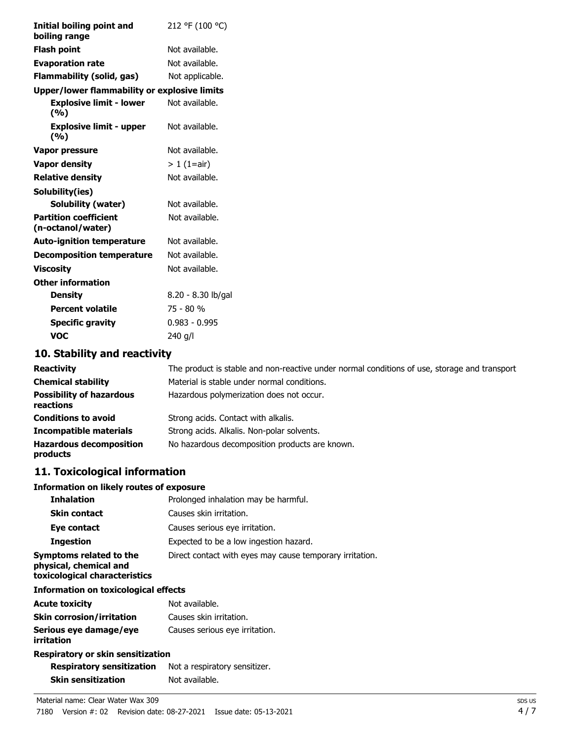| Initial boiling point and<br>boiling range        | 212 °F (100 °C)    |
|---------------------------------------------------|--------------------|
| <b>Flash point</b>                                | Not available.     |
|                                                   |                    |
| <b>Evaporation rate</b>                           | Not available.     |
| <b>Flammability (solid, gas)</b>                  | Not applicable.    |
| Upper/lower flammability or explosive limits      |                    |
| <b>Explosive limit - lower</b><br>(%)             | Not available.     |
| <b>Explosive limit - upper</b><br>(%)             | Not available.     |
| Vapor pressure                                    | Not available.     |
| <b>Vapor density</b>                              | $> 1$ (1=air)      |
| <b>Relative density</b>                           | Not available.     |
| Solubility(ies)                                   |                    |
| <b>Solubility (water)</b>                         | Not available.     |
| <b>Partition coefficient</b><br>(n-octanol/water) | Not available.     |
| <b>Auto-ignition temperature</b>                  | Not available.     |
| <b>Decomposition temperature</b>                  | Not available.     |
| <b>Viscosity</b>                                  | Not available.     |
| <b>Other information</b>                          |                    |
| <b>Density</b>                                    | 8.20 - 8.30 lb/gal |
| <b>Percent volatile</b>                           | 75 - 80 %          |
| <b>Specific gravity</b>                           | $0.983 - 0.995$    |
| <b>VOC</b>                                        | 240 g/l            |
|                                                   |                    |

# **10. Stability and reactivity**

| <b>Reactivity</b>                            | The product is stable and non-reactive under normal conditions of use, storage and transport |
|----------------------------------------------|----------------------------------------------------------------------------------------------|
| <b>Chemical stability</b>                    | Material is stable under normal conditions.                                                  |
| <b>Possibility of hazardous</b><br>reactions | Hazardous polymerization does not occur.                                                     |
| <b>Conditions to avoid</b>                   | Strong acids. Contact with alkalis.                                                          |
| <b>Incompatible materials</b>                | Strong acids. Alkalis. Non-polar solvents.                                                   |
| <b>Hazardous decomposition</b><br>products   | No hazardous decomposition products are known.                                               |

# **11. Toxicological information**

#### **Information on likely routes of exposure**

| <b>Inhalation</b>                                                                  | Prolonged inhalation may be harmful.                     |
|------------------------------------------------------------------------------------|----------------------------------------------------------|
| <b>Skin contact</b>                                                                | Causes skin irritation.                                  |
| Eye contact                                                                        | Causes serious eye irritation.                           |
| <b>Ingestion</b>                                                                   | Expected to be a low ingestion hazard.                   |
| Symptoms related to the<br>physical, chemical and<br>toxicological characteristics | Direct contact with eyes may cause temporary irritation. |

#### **Information on toxicological effects**

| <b>Acute toxicity</b>                | Not available.                 |  |  |  |
|--------------------------------------|--------------------------------|--|--|--|
| <b>Skin corrosion/irritation</b>     | Causes skin irritation.        |  |  |  |
| Serious eye damage/eye<br>irritation | Causes serious eye irritation. |  |  |  |
| Respiratory or skin sensitization    |                                |  |  |  |

# **Respiratory sensitization** Not a respiratory sensitizer.

|                           | $1.001$ $1.00$ $1.000$ |
|---------------------------|------------------------|
| <b>Skin sensitization</b> | Not available.         |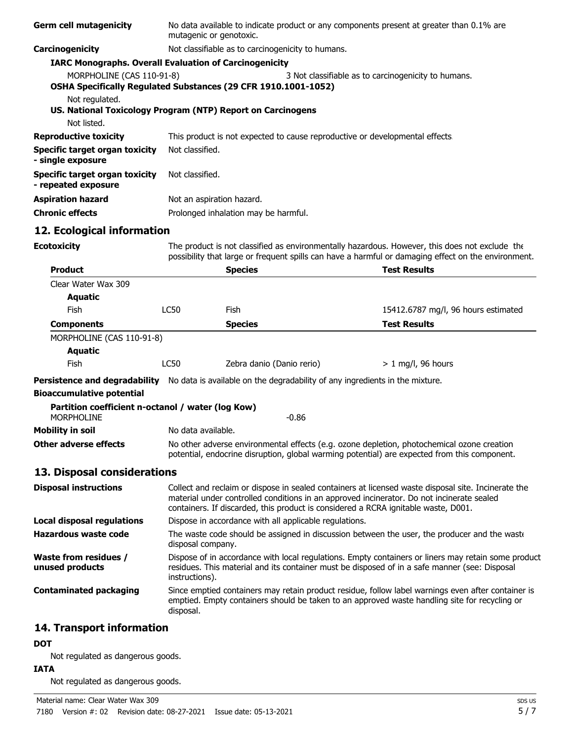| <b>Germ cell mutagenicity</b>                                                 | No data available to indicate product or any components present at greater than 0.1% are<br>mutagenic or genotoxic.                                                                                                                                                                    |                                                                                                            |                                                                                                                                                                                                       |  |  |
|-------------------------------------------------------------------------------|----------------------------------------------------------------------------------------------------------------------------------------------------------------------------------------------------------------------------------------------------------------------------------------|------------------------------------------------------------------------------------------------------------|-------------------------------------------------------------------------------------------------------------------------------------------------------------------------------------------------------|--|--|
| Carcinogenicity                                                               | Not classifiable as to carcinogenicity to humans.                                                                                                                                                                                                                                      |                                                                                                            |                                                                                                                                                                                                       |  |  |
|                                                                               | <b>IARC Monographs. Overall Evaluation of Carcinogenicity</b>                                                                                                                                                                                                                          |                                                                                                            |                                                                                                                                                                                                       |  |  |
|                                                                               | MORPHOLINE (CAS 110-91-8)<br>3 Not classifiable as to carcinogenicity to humans.<br>OSHA Specifically Regulated Substances (29 CFR 1910.1001-1052)                                                                                                                                     |                                                                                                            |                                                                                                                                                                                                       |  |  |
| Not regulated.<br>US. National Toxicology Program (NTP) Report on Carcinogens |                                                                                                                                                                                                                                                                                        |                                                                                                            |                                                                                                                                                                                                       |  |  |
| Not listed.                                                                   |                                                                                                                                                                                                                                                                                        |                                                                                                            |                                                                                                                                                                                                       |  |  |
| <b>Reproductive toxicity</b>                                                  | This product is not expected to cause reproductive or developmental effects                                                                                                                                                                                                            |                                                                                                            |                                                                                                                                                                                                       |  |  |
| Specific target organ toxicity<br>- single exposure                           | Not classified.                                                                                                                                                                                                                                                                        |                                                                                                            |                                                                                                                                                                                                       |  |  |
| <b>Specific target organ toxicity</b><br>- repeated exposure                  | Not classified.                                                                                                                                                                                                                                                                        |                                                                                                            |                                                                                                                                                                                                       |  |  |
| <b>Aspiration hazard</b>                                                      | Not an aspiration hazard.                                                                                                                                                                                                                                                              |                                                                                                            |                                                                                                                                                                                                       |  |  |
| <b>Chronic effects</b>                                                        |                                                                                                                                                                                                                                                                                        | Prolonged inhalation may be harmful.                                                                       |                                                                                                                                                                                                       |  |  |
| 12. Ecological information                                                    |                                                                                                                                                                                                                                                                                        |                                                                                                            |                                                                                                                                                                                                       |  |  |
| <b>Ecotoxicity</b>                                                            |                                                                                                                                                                                                                                                                                        |                                                                                                            | The product is not classified as environmentally hazardous. However, this does not exclude the<br>possibility that large or frequent spills can have a harmful or damaging effect on the environment. |  |  |
| <b>Product</b>                                                                |                                                                                                                                                                                                                                                                                        | <b>Species</b>                                                                                             | <b>Test Results</b>                                                                                                                                                                                   |  |  |
| Clear Water Wax 309                                                           |                                                                                                                                                                                                                                                                                        |                                                                                                            |                                                                                                                                                                                                       |  |  |
| <b>Aquatic</b>                                                                |                                                                                                                                                                                                                                                                                        |                                                                                                            |                                                                                                                                                                                                       |  |  |
| Fish                                                                          | <b>LC50</b>                                                                                                                                                                                                                                                                            | Fish                                                                                                       | 15412.6787 mg/l, 96 hours estimated                                                                                                                                                                   |  |  |
| <b>Components</b>                                                             |                                                                                                                                                                                                                                                                                        | <b>Species</b>                                                                                             | <b>Test Results</b>                                                                                                                                                                                   |  |  |
| MORPHOLINE (CAS 110-91-8)                                                     |                                                                                                                                                                                                                                                                                        |                                                                                                            |                                                                                                                                                                                                       |  |  |
| <b>Aquatic</b>                                                                |                                                                                                                                                                                                                                                                                        |                                                                                                            |                                                                                                                                                                                                       |  |  |
| Fish                                                                          | LC50                                                                                                                                                                                                                                                                                   | Zebra danio (Danio rerio)                                                                                  | $> 1$ mg/l, 96 hours                                                                                                                                                                                  |  |  |
|                                                                               |                                                                                                                                                                                                                                                                                        | Persistence and degradability No data is available on the degradability of any ingredients in the mixture. |                                                                                                                                                                                                       |  |  |
| <b>Bioaccumulative potential</b>                                              |                                                                                                                                                                                                                                                                                        |                                                                                                            |                                                                                                                                                                                                       |  |  |
| Partition coefficient n-octanol / water (log Kow)<br><b>MORPHOLINE</b>        |                                                                                                                                                                                                                                                                                        | $-0.86$                                                                                                    |                                                                                                                                                                                                       |  |  |
| <b>Mobility in soil</b>                                                       | No data available.                                                                                                                                                                                                                                                                     |                                                                                                            |                                                                                                                                                                                                       |  |  |
| <b>Other adverse effects</b>                                                  | No other adverse environmental effects (e.g. ozone depletion, photochemical ozone creation<br>potential, endocrine disruption, global warming potential) are expected from this component.                                                                                             |                                                                                                            |                                                                                                                                                                                                       |  |  |
| 13. Disposal considerations                                                   |                                                                                                                                                                                                                                                                                        |                                                                                                            |                                                                                                                                                                                                       |  |  |
| <b>Disposal instructions</b>                                                  | Collect and reclaim or dispose in sealed containers at licensed waste disposal site. Incinerate the<br>material under controlled conditions in an approved incinerator. Do not incinerate sealed<br>containers. If discarded, this product is considered a RCRA ignitable waste, D001. |                                                                                                            |                                                                                                                                                                                                       |  |  |
| <b>Local disposal regulations</b>                                             |                                                                                                                                                                                                                                                                                        | Dispose in accordance with all applicable regulations.                                                     |                                                                                                                                                                                                       |  |  |
| <b>Hazardous waste code</b>                                                   | The waste code should be assigned in discussion between the user, the producer and the waste<br>disposal company.                                                                                                                                                                      |                                                                                                            |                                                                                                                                                                                                       |  |  |
| <b>Waste from residues /</b><br>unused products                               | Dispose of in accordance with local regulations. Empty containers or liners may retain some product<br>residues. This material and its container must be disposed of in a safe manner (see: Disposal<br>instructions).                                                                 |                                                                                                            |                                                                                                                                                                                                       |  |  |
| <b>Contaminated packaging</b>                                                 | Since emptied containers may retain product residue, follow label warnings even after container is<br>emptied. Empty containers should be taken to an approved waste handling site for recycling or<br>disposal.                                                                       |                                                                                                            |                                                                                                                                                                                                       |  |  |
| 14. Transport information                                                     |                                                                                                                                                                                                                                                                                        |                                                                                                            |                                                                                                                                                                                                       |  |  |

### **DOT**

Not regulated as dangerous goods.

### **IATA**

Not regulated as dangerous goods.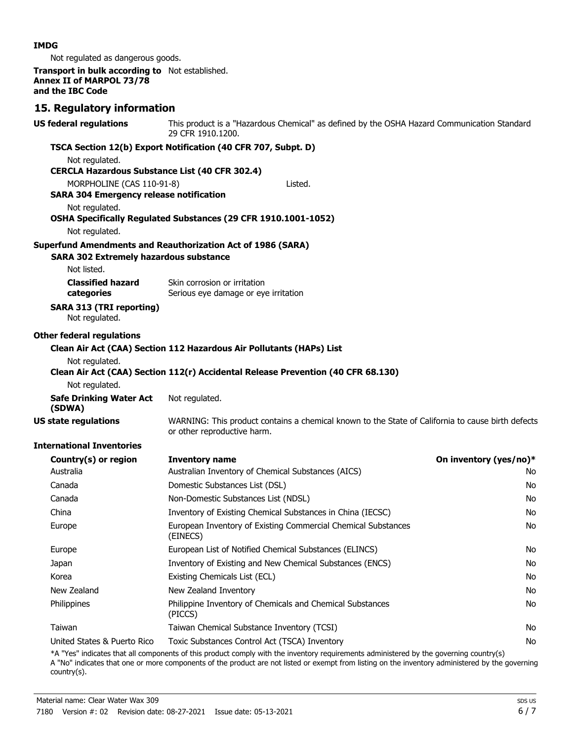#### **IMDG**

Not regulated as dangerous goods.

**Transport in bulk according to** Not established. **Annex II of MARPOL 73/78 and the IBC Code**

### **15. Regulatory information**

| <b>US federal regulations</b>                                               | This product is a "Hazardous Chemical" as defined by the OSHA Hazard Communication Standard<br>29 CFR 1910.1200.                 |                        |  |
|-----------------------------------------------------------------------------|----------------------------------------------------------------------------------------------------------------------------------|------------------------|--|
|                                                                             | TSCA Section 12(b) Export Notification (40 CFR 707, Subpt. D)                                                                    |                        |  |
| Not regulated.                                                              |                                                                                                                                  |                        |  |
| <b>CERCLA Hazardous Substance List (40 CFR 302.4)</b>                       |                                                                                                                                  |                        |  |
| MORPHOLINE (CAS 110-91-8)<br><b>SARA 304 Emergency release notification</b> | Listed.                                                                                                                          |                        |  |
| Not regulated.                                                              | OSHA Specifically Regulated Substances (29 CFR 1910.1001-1052)                                                                   |                        |  |
| Not regulated.                                                              |                                                                                                                                  |                        |  |
|                                                                             | <b>Superfund Amendments and Reauthorization Act of 1986 (SARA)</b>                                                               |                        |  |
| <b>SARA 302 Extremely hazardous substance</b>                               |                                                                                                                                  |                        |  |
| Not listed.                                                                 |                                                                                                                                  |                        |  |
| <b>Classified hazard</b><br>categories                                      | Skin corrosion or irritation<br>Serious eye damage or eye irritation                                                             |                        |  |
| <b>SARA 313 (TRI reporting)</b><br>Not regulated.                           |                                                                                                                                  |                        |  |
| <b>Other federal regulations</b>                                            |                                                                                                                                  |                        |  |
|                                                                             | Clean Air Act (CAA) Section 112 Hazardous Air Pollutants (HAPs) List                                                             |                        |  |
| Not regulated.                                                              | Clean Air Act (CAA) Section 112(r) Accidental Release Prevention (40 CFR 68.130)                                                 |                        |  |
| Not regulated.                                                              |                                                                                                                                  |                        |  |
| <b>Safe Drinking Water Act</b><br>(SDWA)                                    | Not regulated.                                                                                                                   |                        |  |
| <b>US state regulations</b>                                                 | WARNING: This product contains a chemical known to the State of California to cause birth defects<br>or other reproductive harm. |                        |  |
| <b>International Inventories</b>                                            |                                                                                                                                  |                        |  |
| Country(s) or region                                                        | <b>Inventory name</b>                                                                                                            | On inventory (yes/no)* |  |
| Australia                                                                   | Australian Inventory of Chemical Substances (AICS)                                                                               | No.                    |  |
| Canada                                                                      | Domestic Substances List (DSL)                                                                                                   | No                     |  |
| Canada                                                                      | Non-Domestic Substances List (NDSL)                                                                                              | No                     |  |
| China                                                                       | Inventory of Existing Chemical Substances in China (IECSC)                                                                       | No                     |  |
| Europe                                                                      | European Inventory of Existing Commercial Chemical Substances<br>(EINECS)                                                        | No                     |  |
| Europe                                                                      | European List of Notified Chemical Substances (ELINCS)                                                                           | No                     |  |
| Japan                                                                       | Inventory of Existing and New Chemical Substances (ENCS)                                                                         | No                     |  |
| Korea                                                                       | Existing Chemicals List (ECL)                                                                                                    | No                     |  |
| New Zealand                                                                 | New Zealand Inventory                                                                                                            | No                     |  |
| Philippines                                                                 | Philippine Inventory of Chemicals and Chemical Substances<br>(PICCS)                                                             | No                     |  |
| Taiwan                                                                      | Taiwan Chemical Substance Inventory (TCSI)                                                                                       | No                     |  |
| United States & Puerto Rico                                                 | Toxic Substances Control Act (TSCA) Inventory                                                                                    | No                     |  |

\*A "Yes" indicates that all components of this product comply with the inventory requirements administered by the governing country(s) A "No" indicates that one or more components of the product are not listed or exempt from listing on the inventory administered by the governing country(s).